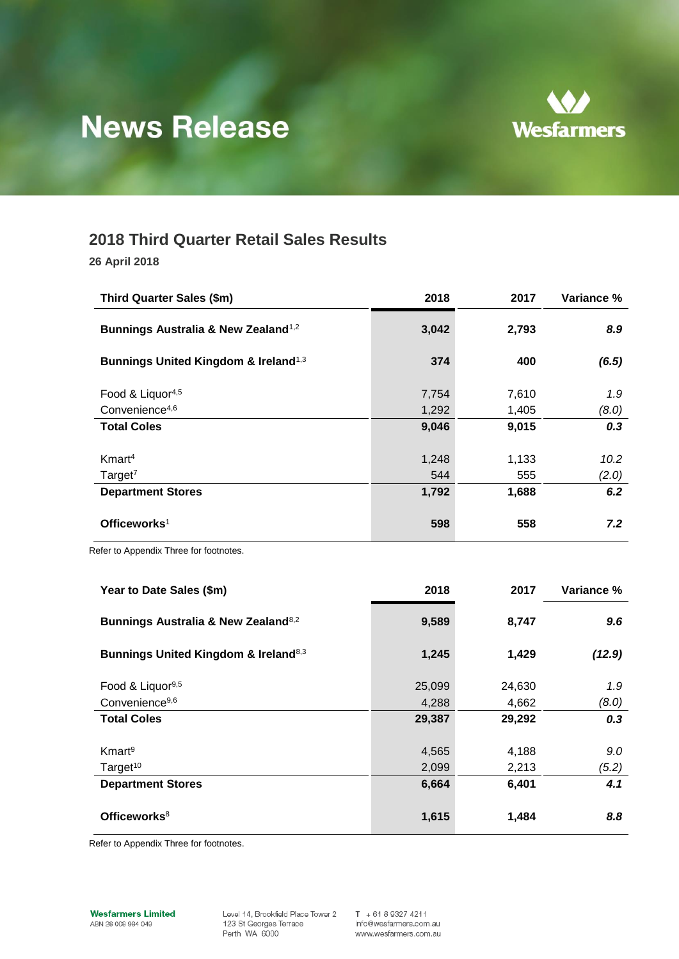

# **News Release**

## **2018 Third Quarter Retail Sales Results**

**26 April 2018**

| Third Quarter Sales (\$m)                        | 2018  | 2017  | Variance % |
|--------------------------------------------------|-------|-------|------------|
| Bunnings Australia & New Zealand <sup>1,2</sup>  | 3,042 | 2,793 | 8.9        |
| Bunnings United Kingdom & Ireland <sup>1,3</sup> | 374   | 400   | (6.5)      |
| Food & Liquor <sup>4,5</sup>                     | 7,754 | 7,610 | 1.9        |
| Convenience <sup>4,6</sup>                       | 1,292 | 1,405 | (8.0)      |
| <b>Total Coles</b>                               | 9,046 | 9,015 | 0.3        |
|                                                  |       |       |            |
| Kmart <sup>4</sup>                               | 1,248 | 1,133 | 10.2       |
| Target <sup>7</sup>                              | 544   | 555   | (2.0)      |
| <b>Department Stores</b>                         | 1,792 | 1,688 | 6.2        |
| Officeworks <sup>1</sup>                         | 598   | 558   | 7.2        |

Refer to Appendix Three for footnotes.

| Year to Date Sales (\$m)                                    | 2018   | 2017   | Variance % |
|-------------------------------------------------------------|--------|--------|------------|
| Bunnings Australia & New Zealand <sup>8,2</sup>             | 9,589  | 8,747  | 9.6        |
| <b>Bunnings United Kingdom &amp; Ireland</b> <sup>8,3</sup> | 1,245  | 1,429  | (12.9)     |
| Food & Liquor <sup>9,5</sup>                                | 25,099 | 24,630 | 1.9        |
| Convenience <sup>9,6</sup>                                  | 4,288  | 4,662  | (8.0)      |
| <b>Total Coles</b>                                          | 29,387 | 29,292 | 0.3        |
|                                                             |        |        |            |
| Kmart <sup>9</sup>                                          | 4,565  | 4,188  | 9.0        |
| Target <sup>10</sup>                                        | 2,099  | 2,213  | (5.2)      |
| <b>Department Stores</b>                                    | 6,664  | 6,401  | 4.1        |
| Officeworks <sup>8</sup>                                    | 1,615  | 1,484  | 8.8        |

Refer to Appendix Three for footnotes.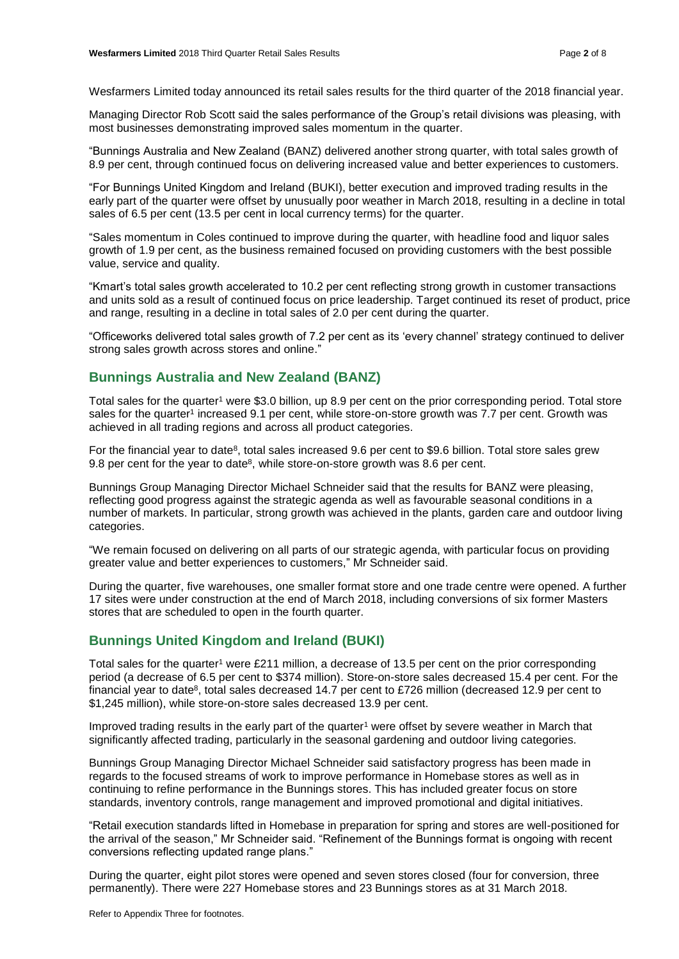Wesfarmers Limited today announced its retail sales results for the third quarter of the 2018 financial year.

Managing Director Rob Scott said the sales performance of the Group's retail divisions was pleasing, with most businesses demonstrating improved sales momentum in the quarter.

"Bunnings Australia and New Zealand (BANZ) delivered another strong quarter, with total sales growth of 8.9 per cent, through continued focus on delivering increased value and better experiences to customers.

"For Bunnings United Kingdom and Ireland (BUKI), better execution and improved trading results in the early part of the quarter were offset by unusually poor weather in March 2018, resulting in a decline in total sales of 6.5 per cent (13.5 per cent in local currency terms) for the quarter.

"Sales momentum in Coles continued to improve during the quarter, with headline food and liquor sales growth of 1.9 per cent, as the business remained focused on providing customers with the best possible value, service and quality.

"Kmart's total sales growth accelerated to 10.2 per cent reflecting strong growth in customer transactions and units sold as a result of continued focus on price leadership. Target continued its reset of product, price and range, resulting in a decline in total sales of 2.0 per cent during the quarter.

"Officeworks delivered total sales growth of 7.2 per cent as its 'every channel' strategy continued to deliver strong sales growth across stores and online."

### **Bunnings Australia and New Zealand (BANZ)**

Total sales for the quarter<sup>1</sup> were \$3.0 billion, up 8.9 per cent on the prior corresponding period. Total store sales for the quarter<sup>1</sup> increased 9.1 per cent, while store-on-store growth was 7.7 per cent. Growth was achieved in all trading regions and across all product categories.

For the financial year to date<sup>8</sup>, total sales increased 9.6 per cent to \$9.6 billion. Total store sales grew 9.8 per cent for the year to date<sup>8</sup>, while store-on-store growth was 8.6 per cent.

Bunnings Group Managing Director Michael Schneider said that the results for BANZ were pleasing, reflecting good progress against the strategic agenda as well as favourable seasonal conditions in a number of markets. In particular, strong growth was achieved in the plants, garden care and outdoor living categories.

"We remain focused on delivering on all parts of our strategic agenda, with particular focus on providing greater value and better experiences to customers," Mr Schneider said.

During the quarter, five warehouses, one smaller format store and one trade centre were opened. A further 17 sites were under construction at the end of March 2018, including conversions of six former Masters stores that are scheduled to open in the fourth quarter.

## **Bunnings United Kingdom and Ireland (BUKI)**

Total sales for the quarter<sup>1</sup> were £211 million, a decrease of 13.5 per cent on the prior corresponding period (a decrease of 6.5 per cent to \$374 million). Store-on-store sales decreased 15.4 per cent. For the financial year to date<sup>8</sup>, total sales decreased 14.7 per cent to £726 million (decreased 12.9 per cent to \$1,245 million), while store-on-store sales decreased 13.9 per cent.

Improved trading results in the early part of the quarter<sup>1</sup> were offset by severe weather in March that significantly affected trading, particularly in the seasonal gardening and outdoor living categories.

Bunnings Group Managing Director Michael Schneider said satisfactory progress has been made in regards to the focused streams of work to improve performance in Homebase stores as well as in continuing to refine performance in the Bunnings stores. This has included greater focus on store standards, inventory controls, range management and improved promotional and digital initiatives.

"Retail execution standards lifted in Homebase in preparation for spring and stores are well-positioned for the arrival of the season," Mr Schneider said. "Refinement of the Bunnings format is ongoing with recent conversions reflecting updated range plans."

During the quarter, eight pilot stores were opened and seven stores closed (four for conversion, three permanently). There were 227 Homebase stores and 23 Bunnings stores as at 31 March 2018.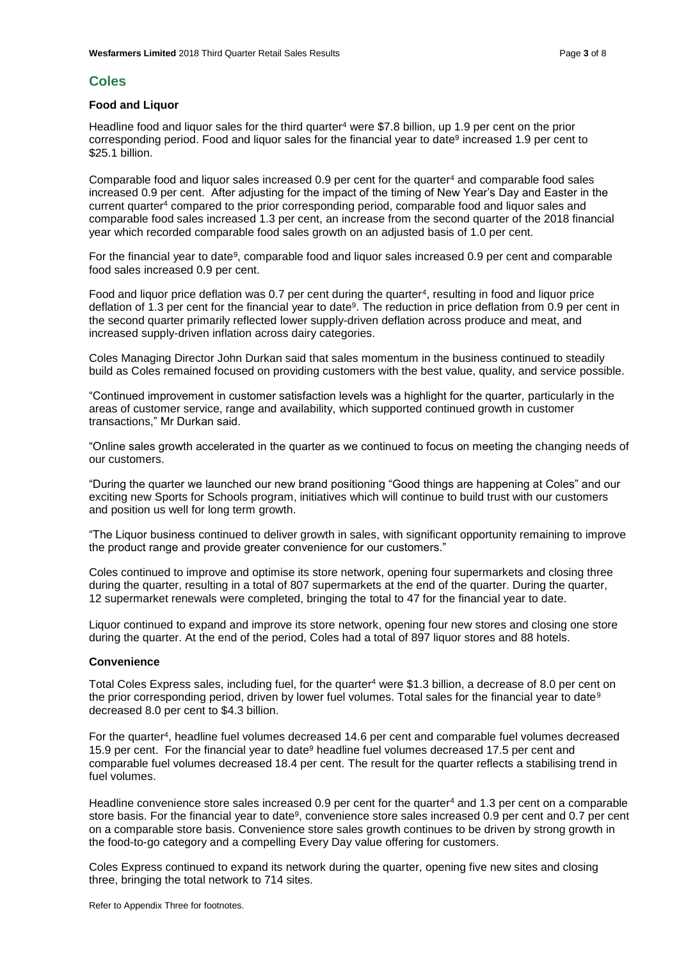#### **Coles**

#### **Food and Liquor**

Headline food and liquor sales for the third quarter<sup>4</sup> were \$7.8 billion, up 1.9 per cent on the prior corresponding period. Food and liquor sales for the financial year to date<sup>9</sup> increased 1.9 per cent to \$25.1 billion.

Comparable food and liquor sales increased 0.9 per cent for the quarter<sup>4</sup> and comparable food sales increased 0.9 per cent. After adjusting for the impact of the timing of New Year's Day and Easter in the current quarter<sup>4</sup> compared to the prior corresponding period, comparable food and liquor sales and comparable food sales increased 1.3 per cent, an increase from the second quarter of the 2018 financial year which recorded comparable food sales growth on an adjusted basis of 1.0 per cent.

For the financial year to date<sup>9</sup>, comparable food and liquor sales increased 0.9 per cent and comparable food sales increased 0.9 per cent.

Food and liquor price deflation was  $0.7$  per cent during the quarter<sup>4</sup>, resulting in food and liquor price deflation of 1.3 per cent for the financial year to date<sup>9</sup>. The reduction in price deflation from 0.9 per cent in the second quarter primarily reflected lower supply-driven deflation across produce and meat, and increased supply-driven inflation across dairy categories.

Coles Managing Director John Durkan said that sales momentum in the business continued to steadily build as Coles remained focused on providing customers with the best value, quality, and service possible.

"Continued improvement in customer satisfaction levels was a highlight for the quarter, particularly in the areas of customer service, range and availability, which supported continued growth in customer transactions," Mr Durkan said.

"Online sales growth accelerated in the quarter as we continued to focus on meeting the changing needs of our customers.

"During the quarter we launched our new brand positioning "Good things are happening at Coles" and our exciting new Sports for Schools program, initiatives which will continue to build trust with our customers and position us well for long term growth.

"The Liquor business continued to deliver growth in sales, with significant opportunity remaining to improve the product range and provide greater convenience for our customers."

Coles continued to improve and optimise its store network, opening four supermarkets and closing three during the quarter, resulting in a total of 807 supermarkets at the end of the quarter. During the quarter, 12 supermarket renewals were completed, bringing the total to 47 for the financial year to date.

Liquor continued to expand and improve its store network, opening four new stores and closing one store during the quarter. At the end of the period, Coles had a total of 897 liquor stores and 88 hotels.

#### **Convenience**

Total Coles Express sales, including fuel, for the quarter<sup>4</sup> were \$1.3 billion, a decrease of 8.0 per cent on the prior corresponding period, driven by lower fuel volumes. Total sales for the financial year to date<sup>9</sup> decreased 8.0 per cent to \$4.3 billion.

For the quarter<sup>4</sup> , headline fuel volumes decreased 14.6 per cent and comparable fuel volumes decreased 15.9 per cent. For the financial year to date<sup>9</sup> headline fuel volumes decreased 17.5 per cent and comparable fuel volumes decreased 18.4 per cent. The result for the quarter reflects a stabilising trend in fuel volumes.

Headline convenience store sales increased 0.9 per cent for the quarter<sup>4</sup> and 1.3 per cent on a comparable store basis. For the financial year to date<sup>9</sup>, convenience store sales increased 0.9 per cent and 0.7 per cent on a comparable store basis. Convenience store sales growth continues to be driven by strong growth in the food-to-go category and a compelling Every Day value offering for customers.

Coles Express continued to expand its network during the quarter, opening five new sites and closing three, bringing the total network to 714 sites.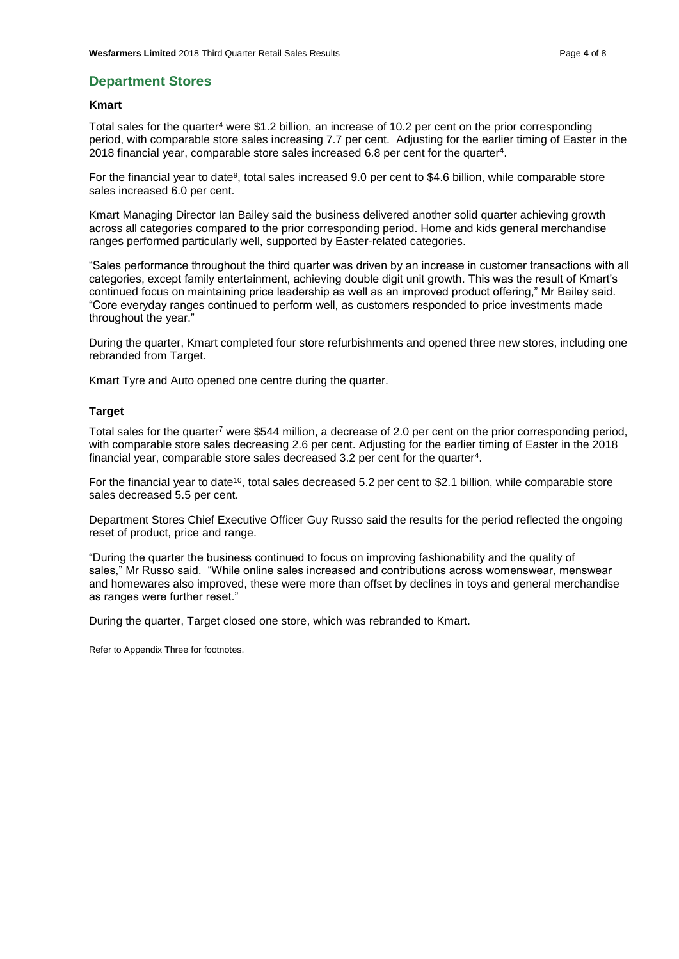#### **Department Stores**

#### **Kmart**

Total sales for the quarter<sup>4</sup> were \$1.2 billion, an increase of 10.2 per cent on the prior corresponding period, with comparable store sales increasing 7.7 per cent. Adjusting for the earlier timing of Easter in the 2018 financial year, comparable store sales increased 6.8 per cent for the quarter**<sup>4</sup>** .

For the financial year to date<sup>9</sup>, total sales increased 9.0 per cent to \$4.6 billion, while comparable store sales increased 6.0 per cent.

Kmart Managing Director Ian Bailey said the business delivered another solid quarter achieving growth across all categories compared to the prior corresponding period. Home and kids general merchandise ranges performed particularly well, supported by Easter-related categories.

"Sales performance throughout the third quarter was driven by an increase in customer transactions with all categories, except family entertainment, achieving double digit unit growth. This was the result of Kmart's continued focus on maintaining price leadership as well as an improved product offering," Mr Bailey said. "Core everyday ranges continued to perform well, as customers responded to price investments made throughout the year."

During the quarter, Kmart completed four store refurbishments and opened three new stores, including one rebranded from Target.

Kmart Tyre and Auto opened one centre during the quarter.

#### **Target**

Total sales for the quarter<sup>7</sup> were \$544 million, a decrease of 2.0 per cent on the prior corresponding period, with comparable store sales decreasing 2.6 per cent. Adjusting for the earlier timing of Easter in the 2018 financial year, comparable store sales decreased 3.2 per cent for the quarter<sup>4</sup>.

For the financial year to date<sup>10</sup>, total sales decreased 5.2 per cent to \$2.1 billion, while comparable store sales decreased 5.5 per cent.

Department Stores Chief Executive Officer Guy Russo said the results for the period reflected the ongoing reset of product, price and range.

"During the quarter the business continued to focus on improving fashionability and the quality of sales," Mr Russo said. "While online sales increased and contributions across womenswear, menswear and homewares also improved, these were more than offset by declines in toys and general merchandise as ranges were further reset."

During the quarter, Target closed one store, which was rebranded to Kmart.

Refer to Appendix Three for footnotes.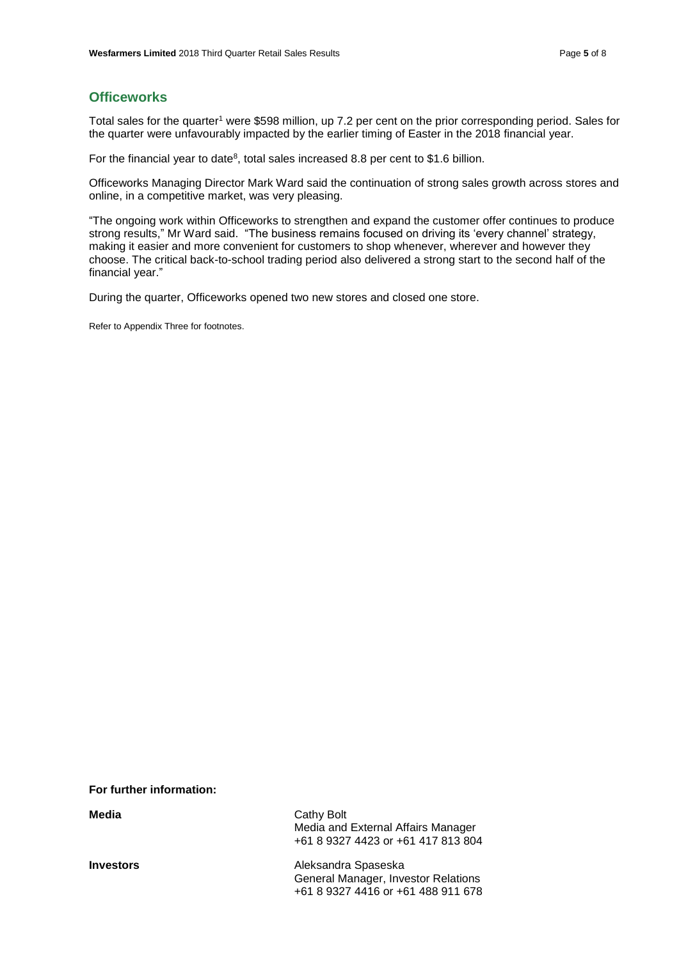## **Officeworks**

Total sales for the quarter<sup>1</sup> were \$598 million, up 7.2 per cent on the prior corresponding period. Sales for the quarter were unfavourably impacted by the earlier timing of Easter in the 2018 financial year.

For the financial year to date<sup>8</sup>, total sales increased 8.8 per cent to \$1.6 billion.

Officeworks Managing Director Mark Ward said the continuation of strong sales growth across stores and online, in a competitive market, was very pleasing.

"The ongoing work within Officeworks to strengthen and expand the customer offer continues to produce strong results," Mr Ward said. "The business remains focused on driving its 'every channel' strategy, making it easier and more convenient for customers to shop whenever, wherever and however they choose. The critical back-to-school trading period also delivered a strong start to the second half of the financial year."

During the quarter, Officeworks opened two new stores and closed one store.

Refer to Appendix Three for footnotes.

|  | For further information: |  |  |
|--|--------------------------|--|--|
|--|--------------------------|--|--|

| Media            | Cathy Bolt<br>Media and External Affairs Manager<br>+61 8 9327 4423 or +61 417 813 804           |
|------------------|--------------------------------------------------------------------------------------------------|
| <b>Investors</b> | Aleksandra Spaseska<br>General Manager, Investor Relations<br>+61 8 9327 4416 or +61 488 911 678 |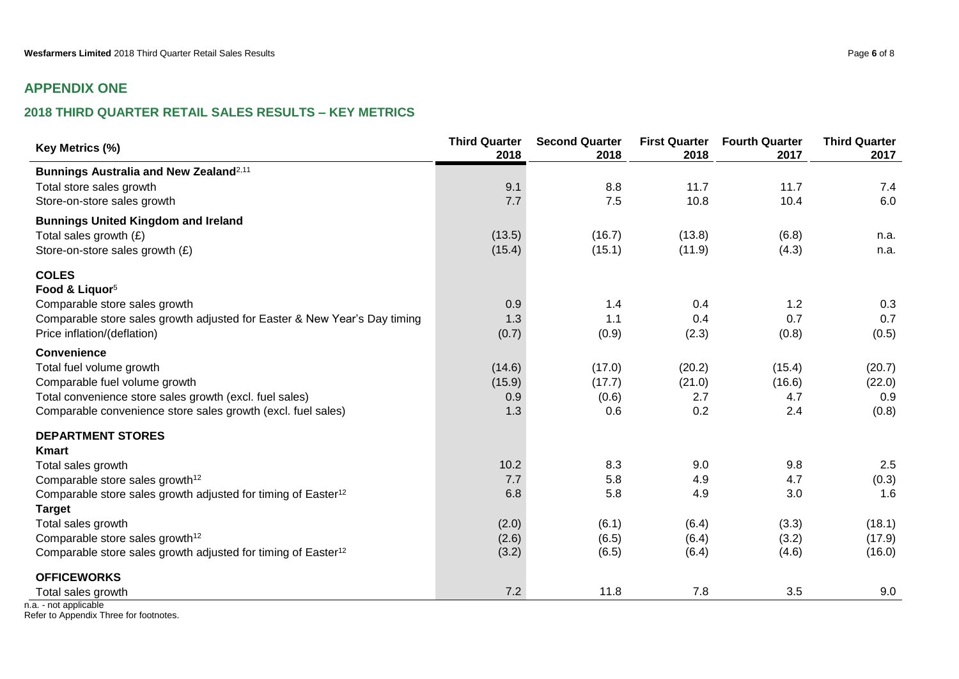## **APPENDIX ONE**

## **2018 THIRD QUARTER RETAIL SALES RESULTS – KEY METRICS**

| Key Metrics (%)                                                           | <b>Third Quarter</b><br>2018 | <b>Second Quarter</b><br>2018 | <b>First Quarter</b><br>2018 | <b>Fourth Quarter</b><br>2017 | <b>Third Quarter</b><br>2017 |
|---------------------------------------------------------------------------|------------------------------|-------------------------------|------------------------------|-------------------------------|------------------------------|
| Bunnings Australia and New Zealand <sup>2,11</sup>                        |                              |                               |                              |                               |                              |
| Total store sales growth                                                  | 9.1                          | 8.8                           | 11.7                         | 11.7                          | 7.4                          |
| Store-on-store sales growth                                               | 7.7                          | 7.5                           | 10.8                         | 10.4                          | 6.0                          |
| <b>Bunnings United Kingdom and Ireland</b>                                |                              |                               |                              |                               |                              |
| Total sales growth $(E)$                                                  | (13.5)                       | (16.7)                        | (13.8)                       | (6.8)                         | n.a.                         |
| Store-on-store sales growth (£)                                           | (15.4)                       | (15.1)                        | (11.9)                       | (4.3)                         | n.a.                         |
| <b>COLES</b>                                                              |                              |                               |                              |                               |                              |
| Food & Liquor <sup>5</sup>                                                |                              |                               |                              |                               |                              |
| Comparable store sales growth                                             | 0.9                          | 1.4                           | 0.4                          | 1.2                           | 0.3                          |
| Comparable store sales growth adjusted for Easter & New Year's Day timing | 1.3                          | 1.1                           | 0.4                          | 0.7                           | 0.7                          |
| Price inflation/(deflation)                                               | (0.7)                        | (0.9)                         | (2.3)                        | (0.8)                         | (0.5)                        |
| <b>Convenience</b>                                                        |                              |                               |                              |                               |                              |
| Total fuel volume growth                                                  | (14.6)                       | (17.0)                        | (20.2)                       | (15.4)                        | (20.7)                       |
| Comparable fuel volume growth                                             | (15.9)                       | (17.7)                        | (21.0)                       | (16.6)                        | (22.0)                       |
| Total convenience store sales growth (excl. fuel sales)                   | 0.9                          | (0.6)                         | 2.7                          | 4.7                           | 0.9                          |
| Comparable convenience store sales growth (excl. fuel sales)              | 1.3                          | 0.6                           | 0.2                          | 2.4                           | (0.8)                        |
| <b>DEPARTMENT STORES</b>                                                  |                              |                               |                              |                               |                              |
| <b>Kmart</b>                                                              |                              |                               |                              |                               |                              |
| Total sales growth                                                        | 10.2                         | 8.3                           | 9.0                          | 9.8                           | 2.5                          |
| Comparable store sales growth <sup>12</sup>                               | 7.7                          | 5.8                           | 4.9                          | 4.7                           | (0.3)                        |
| Comparable store sales growth adjusted for timing of Easter <sup>12</sup> | 6.8                          | 5.8                           | 4.9                          | 3.0                           | 1.6                          |
| <b>Target</b>                                                             |                              |                               |                              |                               |                              |
| Total sales growth                                                        | (2.0)                        | (6.1)                         | (6.4)                        | (3.3)                         | (18.1)                       |
| Comparable store sales growth <sup>12</sup>                               | (2.6)                        | (6.5)                         | (6.4)                        | (3.2)                         | (17.9)                       |
| Comparable store sales growth adjusted for timing of Easter <sup>12</sup> | (3.2)                        | (6.5)                         | (6.4)                        | (4.6)                         | (16.0)                       |
| <b>OFFICEWORKS</b>                                                        |                              |                               |                              |                               |                              |
| Total sales growth                                                        | 7.2                          | 11.8                          | 7.8                          | 3.5                           | 9.0                          |

n.a. - not applicable Refer to Appendix Three for footnotes.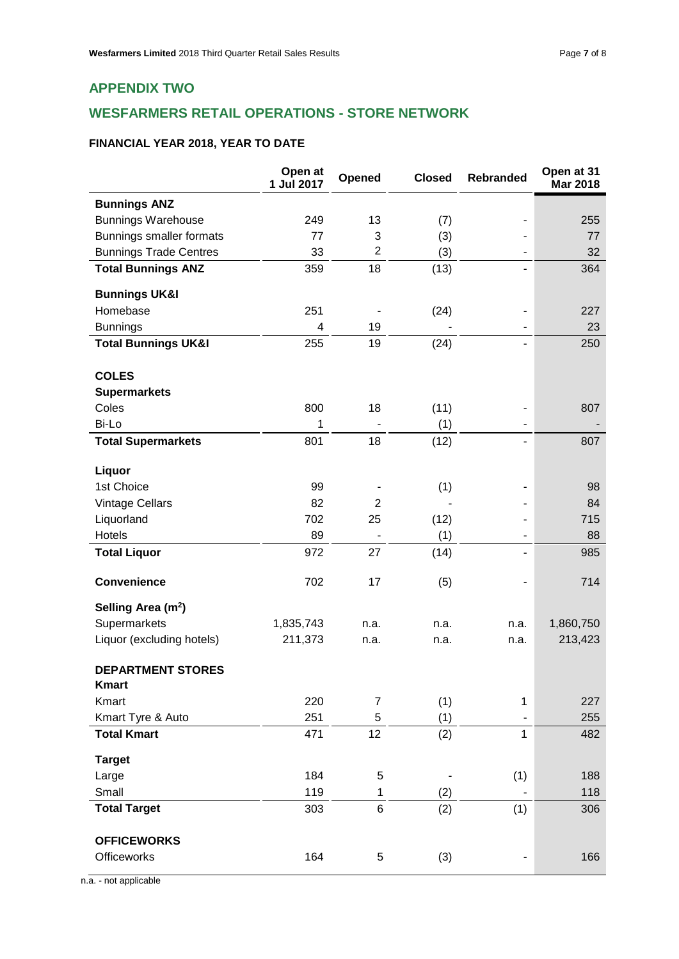## **WESFARMERS RETAIL OPERATIONS - STORE NETWORK**

## **FINANCIAL YEAR 2018, YEAR TO DATE**

|                                          | Open at<br>1 Jul 2017 | Opened         | <b>Closed</b> | <b>Rebranded</b>         | Open at 31<br><b>Mar 2018</b> |
|------------------------------------------|-----------------------|----------------|---------------|--------------------------|-------------------------------|
| <b>Bunnings ANZ</b>                      |                       |                |               |                          |                               |
| <b>Bunnings Warehouse</b>                | 249                   | 13             | (7)           |                          | 255                           |
| Bunnings smaller formats                 | 77                    | 3              | (3)           |                          | 77                            |
| <b>Bunnings Trade Centres</b>            | 33                    | $\overline{2}$ | (3)           |                          | 32                            |
| <b>Total Bunnings ANZ</b>                | 359                   | 18             | (13)          |                          | 364                           |
| <b>Bunnings UK&amp;I</b>                 |                       |                |               |                          |                               |
| Homebase                                 | 251                   |                | (24)          |                          | 227                           |
| <b>Bunnings</b>                          | 4                     | 19             |               |                          | 23                            |
| <b>Total Bunnings UK&amp;I</b>           | 255                   | 19             | (24)          | $\overline{\phantom{a}}$ | 250                           |
| <b>COLES</b>                             |                       |                |               |                          |                               |
| <b>Supermarkets</b>                      |                       |                |               |                          |                               |
| Coles                                    | 800                   | 18             | (11)          |                          | 807                           |
| Bi-Lo                                    | 1                     |                | (1)           |                          |                               |
| <b>Total Supermarkets</b>                | 801                   | 18             | (12)          |                          | 807                           |
| Liquor                                   |                       |                |               |                          |                               |
| 1st Choice                               | 99                    |                | (1)           |                          | 98                            |
| Vintage Cellars                          | 82                    | $\overline{2}$ |               |                          | 84                            |
| Liquorland                               | 702                   | 25             | (12)          |                          | 715                           |
| Hotels                                   | 89                    |                | (1)           |                          | 88                            |
| <b>Total Liquor</b>                      | 972                   | 27             | (14)          |                          | 985                           |
| <b>Convenience</b>                       | 702                   | 17             | (5)           |                          | 714                           |
| Selling Area (m <sup>2</sup> )           |                       |                |               |                          |                               |
| Supermarkets                             | 1,835,743             | n.a.           | n.a.          | n.a.                     | 1,860,750                     |
| Liquor (excluding hotels)                | 211,373               | n.a.           | n.a.          | n.a.                     | 213,423                       |
| <b>DEPARTMENT STORES</b><br><b>Kmart</b> |                       |                |               |                          |                               |
| Kmart                                    | 220                   | $\overline{7}$ | (1)           | 1                        | 227                           |
| Kmart Tyre & Auto                        | 251                   | 5              | (1)           |                          | 255                           |
| <b>Total Kmart</b>                       | 471                   | 12             | (2)           | $\mathbf{1}$             | 482                           |
| <b>Target</b>                            |                       |                |               |                          |                               |
| Large                                    | 184                   | 5              |               | (1)                      | 188                           |
| Small                                    | 119                   | 1              | (2)           |                          | 118                           |
| <b>Total Target</b>                      | 303                   | 6              | (2)           | (1)                      | 306                           |
| <b>OFFICEWORKS</b>                       |                       |                |               |                          |                               |
| <b>Officeworks</b>                       | 164                   | 5              | (3)           |                          | 166                           |

n.a. - not applicable